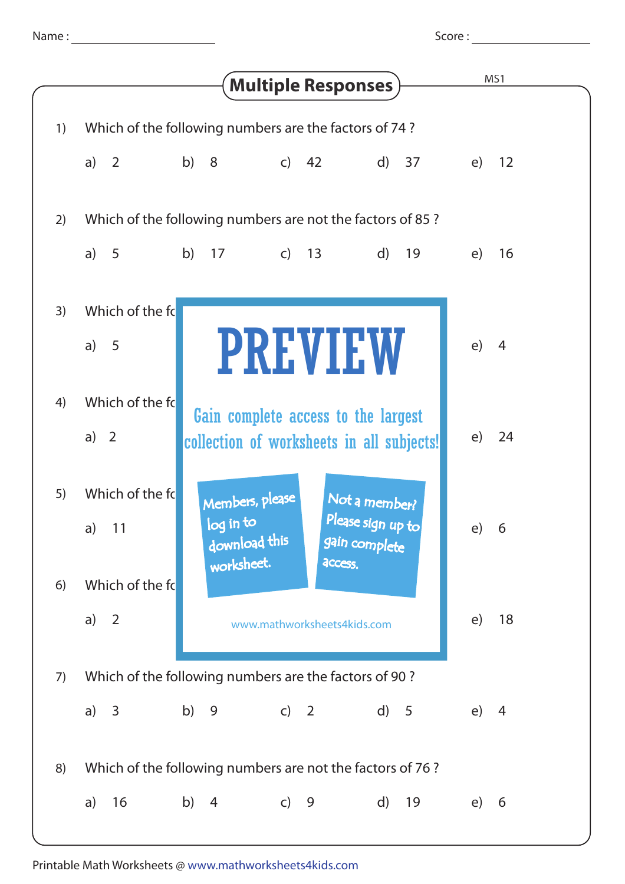Score :

|    | <b>Multiple Responses</b> )                                                                                                                                 | MS1                  |
|----|-------------------------------------------------------------------------------------------------------------------------------------------------------------|----------------------|
| 1) | Which of the following numbers are the factors of 74?                                                                                                       |                      |
|    | b) 8<br>$\overline{c}$<br>d) 37<br>a) $2$<br>42                                                                                                             | 12<br>e)             |
| 2) | Which of the following numbers are not the factors of 85?                                                                                                   |                      |
|    | b)<br>a) $5$<br>17<br>$\mathsf{C}$<br>13<br>$\mathsf{d}$<br>19                                                                                              | e)<br>16             |
| 3) | Which of the fo<br><b>PREVIEW</b><br>a) $5$                                                                                                                 | e)<br>$\overline{4}$ |
| 4) | Which of the fo<br>Gain complete access to the largest<br>a) $2$<br>collection of worksheets in all subjects!                                               | e)<br>24             |
| 5) | Which of the fo<br>Members, please<br>Not a member?<br>Please sign up to<br>log in to<br>a) $11$<br>download this<br>gain complete<br>worksheet.<br>access. | e) 6                 |
| 6) | Which of the fo                                                                                                                                             |                      |
|    | $\overline{2}$<br>a)<br>www.mathworksheets4kids.com                                                                                                         | e)<br>18             |
| 7) | Which of the following numbers are the factors of 90?                                                                                                       |                      |
|    | c) 2<br>b)<br>9<br>d) 5<br>a) $3$                                                                                                                           | (e)<br>4             |
| 8) | Which of the following numbers are not the factors of 76?                                                                                                   |                      |
|    | 16<br>b)<br>$\overline{4}$<br>$c)$ 9<br>$\mathsf{d}$<br>19<br>a)                                                                                            | e)<br>6              |